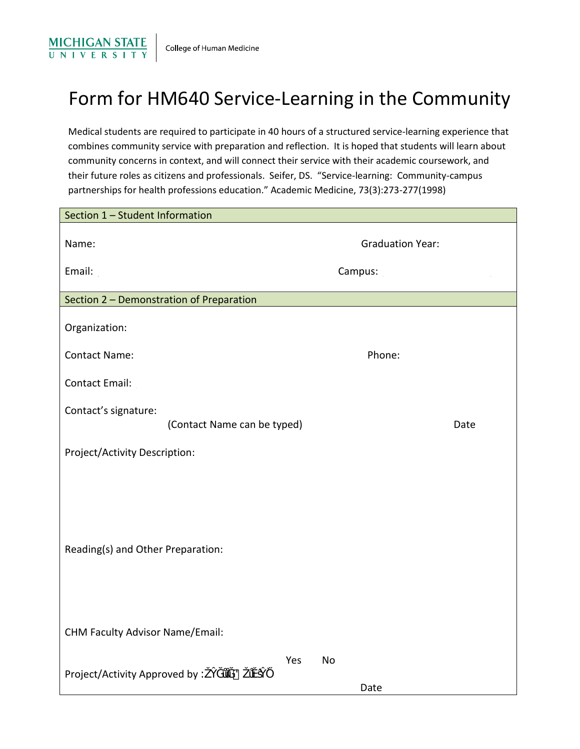

## Form for HM640 Service-Learning in the Community

Medical students are required to participate in 40 hours of a structured service-learning experience that combines community service with preparation and reflection. It is hoped that students will learn about community concerns in context, and will connect their service with their academic coursework, and their future roles as citizens and professionals. Seifer, DS. "Service-learning: Community-campus partnerships for health professions education." Academic Medicine, 73(3):273-277(1998)

| Section 1 - Student Information                     |                         |
|-----------------------------------------------------|-------------------------|
| Name:                                               | <b>Graduation Year:</b> |
| Email:                                              | Campus:                 |
| Section 2 - Demonstration of Preparation            |                         |
| Organization:                                       |                         |
| <b>Contact Name:</b>                                | Phone:                  |
| <b>Contact Email:</b>                               |                         |
| Contact's signature:<br>(Contact Name can be typed) | Date                    |
| Project/Activity Description:                       |                         |
| Reading(s) and Other Preparation:                   |                         |
| <b>CHM Faculty Advisor Name/Email:</b>              |                         |
| Yes<br>No<br>Project/Activity Approved by K<br>8    | Date                    |